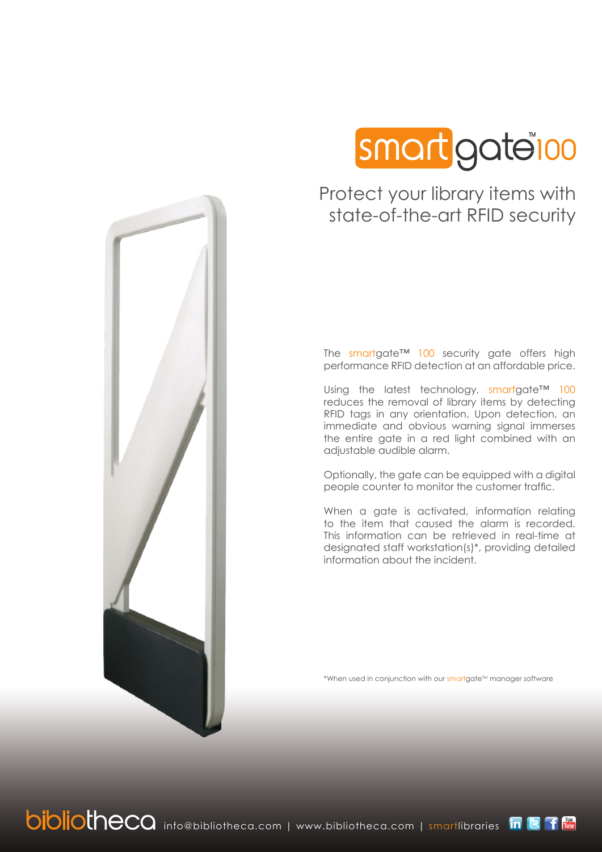

# Protect your library items with state-of-the-art RFID security

The smartgate™ 100 security gate offers high performance RFID detection at an affordable price.

Using the latest technology, smartgate™ 100 reduces the removal of library items by detecting RFID tags in any orientation. Upon detection, an immediate and obvious warning signal immerses the entire gate in a red light combined with an adjustable audible alarm.

Optionally, the gate can be equipped with a digital people counter to monitor the customer traffic.

When a gate is activated, information relating to the item that caused the alarm is recorded. This information can be retrieved in real-time at designated staff workstation(s)\*, providing detailed information about the incident.

\*When used in conjunction with our smartgate<sup>TM</sup> manager software



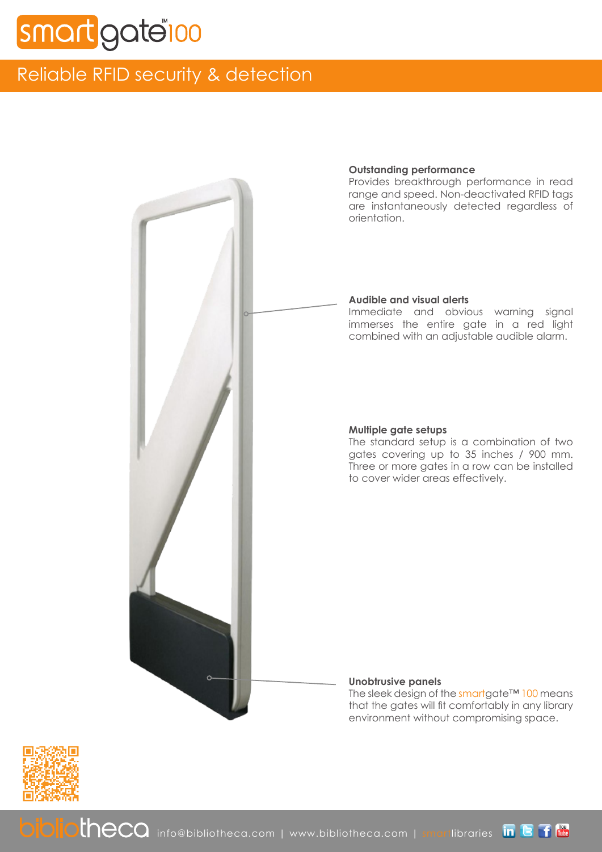# gate<sup>r</sup>oo

# Reliable RFID security & detection



## **Outstanding performance**

Provides breakthrough performance in read range and speed. Non-deactivated RFID tags are instantaneously detected regardless of orientation.

## **Audible and visual alerts**

Immediate and obvious warning signal immerses the entire gate in a red light combined with an adjustable audible alarm.

## **Multiple gate setups**

The standard setup is a combination of two gates covering up to 35 inches / 900 mm. Three or more gates in a row can be installed to cover wider areas effectively.

### **Unobtrusive panels**

The sleek design of the smartgate™ 100 means that the gates will fit comfortably in any library environment without compromising space.